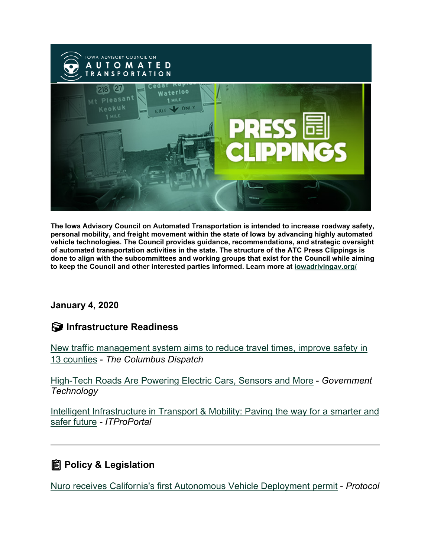

**The Iowa Advisory Council on Automated Transportation is intended to increase roadway safety, personal mobility, and freight movement within the state of Iowa by advancing highly automated vehicle technologies. The Council provides guidance, recommendations, and strategic oversight of automated transportation activities in the state. The structure of the ATC Press Clippings is done to align with the subcommittees and working groups that exist for the Council while aiming to keep the Council and other interested parties informed. Learn more at [iowadrivingav.org/](https://iowadrivingav.org/?utm_medium=email&utm_source=govdelivery)**

#### **January 4, 2020**

### **Infrastructure Readiness**

[New traffic management system aims to reduce travel times, improve safety in](https://www.dispatch.com/story/news/local/2020/12/26/new-columbus-traffic-management-system-aimed-reducing-travel-times/3925163001/?utm_medium=email&utm_source=govdelivery)  [13 counties](https://www.dispatch.com/story/news/local/2020/12/26/new-columbus-traffic-management-system-aimed-reducing-travel-times/3925163001/?utm_medium=email&utm_source=govdelivery) - *The Columbus Dispatch*

[High-Tech Roads Are Powering Electric Cars, Sensors and More](https://www.govtech.com/fs/High-Tech-Roads-Are-Powering-Electric-Cars-Sensors-and-More.html?utm_medium=email&utm_source=govdelivery) - *Government Technology*

Intelligent Infrastructure in Transport & Mobility: Paving the way for a smarter and [safer future](https://www.itproportal.com/features/intelligent-infrastructure-in-transport-and-mobility-paving-the-way-for-a-smarter-and-safer-future/?utm_medium=email&utm_source=govdelivery) *- ITProPortal*

# **Policy & Legislation**

[Nuro receives California's first Autonomous Vehicle Deployment permit](https://www.protocol.com/bulletins/nuro-receives-californias-first-autonomous-vehicle-deployment-permit?utm_medium=email&utm_source=govdelivery) - *Protocol*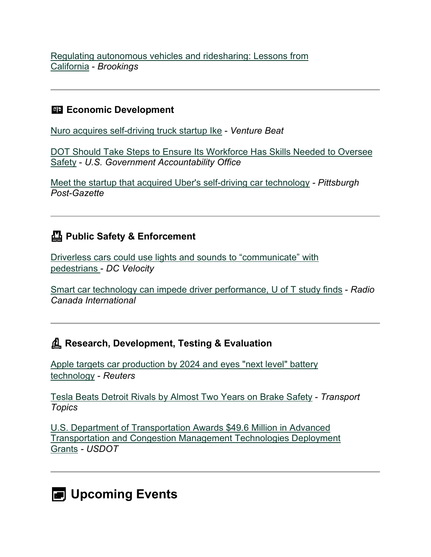[Regulating autonomous vehicles and ridesharing: Lessons from](https://www.brookings.edu/blog/up-front/2020/12/17/regulating-autonomous-vehicles-and-ridesharing-lessons-from-california/?utm_medium=email&utm_source=govdelivery)  [California](https://www.brookings.edu/blog/up-front/2020/12/17/regulating-autonomous-vehicles-and-ridesharing-lessons-from-california/?utm_medium=email&utm_source=govdelivery) - *Brookings*

#### **ED Economic Development**

[Nuro acquires self-driving truck startup Ike](https://venturebeat.com/2020/12/23/nuro-acquires-self-driving-truck-startup-ike/?utm_medium=email&utm_source=govdelivery) - *Venture Beat*

[DOT Should Take Steps to Ensure Its Workforce Has Skills Needed to Oversee](https://www.gao.gov/products/GAO-21-197?utm_campaign=usgao_email&utm_content=topic_transportation&utm_medium=email&utm_source=govdelivery)  [Safety](https://www.gao.gov/products/GAO-21-197?utm_campaign=usgao_email&utm_content=topic_transportation&utm_medium=email&utm_source=govdelivery) - *U.S. Government Accountability Office*

[Meet the startup that acquired Uber's self-driving car technology](https://www.post-gazette.com/business/tech-news/2021/01/03/Aurora-Innovation-Chris-Urmson-Gerardo-Interiano-Uber-ATG-acquisition-self-driving-cars/stories/202101030038?utm_medium=email&utm_source=govdelivery) *- Pittsburgh Post-Gazette*

### **Public Safety & Enforcement**

[Driverless cars could use lights and sounds to "communicate" with](https://www.dcvelocity.com/articles/49065-driverless-cars-could-use-lights-and-sounds-to-communicate-with-pedestrians?utm_medium=email&utm_source=govdelivery)  [pedestrians](https://www.dcvelocity.com/articles/49065-driverless-cars-could-use-lights-and-sounds-to-communicate-with-pedestrians?utm_medium=email&utm_source=govdelivery) - *DC Velocity*

[Smart car technology can impede driver performance, U of T study finds](https://www.rcinet.ca/en/2020/12/31/smart-car-technology-can-impede-driver-performance-u-of-t-study-finds/?utm_medium=email&utm_source=govdelivery) - *Radio Canada International*

## **Research, Development, Testing & Evaluation**

[Apple targets car production by 2024 and eyes "next level" battery](https://www.reuters.com/article/apple-autos/exclusive-apple-targets-car-production-by-2024-and-eyes-next-level-battery-technology-sources-idUSL1N2IX1RZ?utm_medium=email&utm_source=govdelivery)  [technology](https://www.reuters.com/article/apple-autos/exclusive-apple-targets-car-production-by-2024-and-eyes-next-level-battery-technology-sources-idUSL1N2IX1RZ?utm_medium=email&utm_source=govdelivery) - *Reuters*

[Tesla Beats Detroit Rivals by Almost Two Years on Brake Safety](https://www.ttnews.com/articles/tesla-beats-detroit-rivals-almost-two-years-brake-safety?utm_medium=email&utm_source=govdelivery) - *Transport Topics*

[U.S. Department of Transportation Awards \\$49.6 Million in Advanced](https://highways.dot.gov/newsroom/us-department-transportation-awards-496-million-advanced-transportation-and-congestion?utm_medium=email&utm_source=govdelivery)  [Transportation and Congestion Management Technologies Deployment](https://highways.dot.gov/newsroom/us-department-transportation-awards-496-million-advanced-transportation-and-congestion?utm_medium=email&utm_source=govdelivery)  [Grants](https://highways.dot.gov/newsroom/us-department-transportation-awards-496-million-advanced-transportation-and-congestion?utm_medium=email&utm_source=govdelivery) *- USDOT*